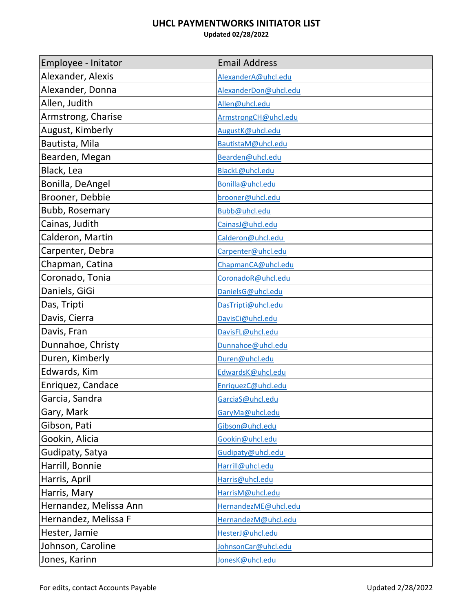## **UHCL PAYMENTWORKS INITIATOR LIST**

**Updated 02/28/2022**

| Employee - Initator    | <b>Email Address</b>  |
|------------------------|-----------------------|
| Alexander, Alexis      | AlexanderA@uhcl.edu   |
| Alexander, Donna       | AlexanderDon@uhcl.edu |
| Allen, Judith          | Allen@uhcl.edu        |
| Armstrong, Charise     | ArmstrongCH@uhcl.edu  |
| August, Kimberly       | AugustK@uhcl.edu      |
| Bautista, Mila         | BautistaM@uhcl.edu    |
| Bearden, Megan         | Bearden@uhcl.edu      |
| Black, Lea             | BlackL@uhcl.edu       |
| Bonilla, DeAngel       | Bonilla@uhcl.edu      |
| Brooner, Debbie        | brooner@uhcl.edu      |
| <b>Bubb, Rosemary</b>  | Bubb@uhcl.edu         |
| Cainas, Judith         | CainasJ@uhcl.edu      |
| Calderon, Martin       | Calderon@uhcl.edu     |
| Carpenter, Debra       | Carpenter@uhcl.edu    |
| Chapman, Catina        | ChapmanCA@uhcl.edu    |
| Coronado, Tonia        | CoronadoR@uhcl.edu    |
| Daniels, GiGi          | DanielsG@uhcl.edu     |
| Das, Tripti            | DasTripti@uhcl.edu    |
| Davis, Cierra          | DavisCi@uhcl.edu      |
| Davis, Fran            | DavisFL@uhcl.edu      |
| Dunnahoe, Christy      | Dunnahoe@uhcl.edu     |
| Duren, Kimberly        | Duren@uhcl.edu        |
| Edwards, Kim           | EdwardsK@uhcl.edu     |
| Enriquez, Candace      | EnriquezC@uhcl.edu    |
| Garcia, Sandra         | GarciaS@uhcl.edu      |
| Gary, Mark             | GaryMa@uhcl.edu       |
| Gibson, Pati           | Gibson@uhcl.edu       |
| Gookin, Alicia         | Gookin@uhcl.edu       |
| Gudipaty, Satya        | Gudipaty@uhcl.edu     |
| Harrill, Bonnie        | Harrill@uhcl.edu      |
| Harris, April          | Harris@uhcl.edu       |
| Harris, Mary           | HarrisM@uhcl.edu      |
| Hernandez, Melissa Ann | HernandezME@uhcl.edu  |
| Hernandez, Melissa F   | HernandezM@uhcl.edu   |
| Hester, Jamie          | HesterJ@uhcl.edu      |
| Johnson, Caroline      | JohnsonCar@uhcl.edu   |
| Jones, Karinn          | JonesK@uhcl.edu       |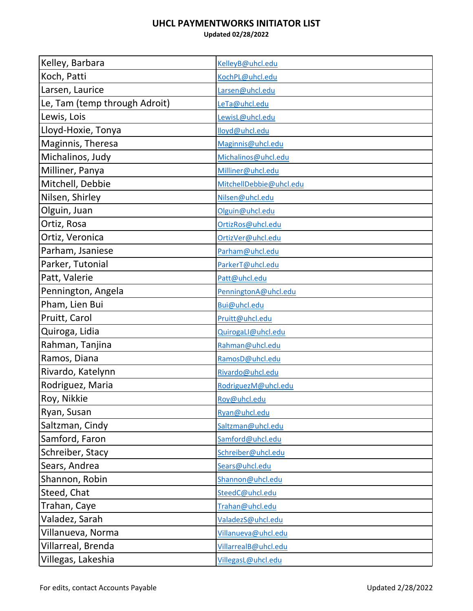## **UHCL PAYMENTWORKS INITIATOR LIST**

**Updated 02/28/2022**

| Kelley, Barbara               | KelleyB@uhcl.edu        |
|-------------------------------|-------------------------|
| Koch, Patti                   | KochPL@uhcl.edu         |
| Larsen, Laurice               | Larsen@uhcl.edu         |
| Le, Tam (temp through Adroit) | LeTa@uhcl.edu           |
| Lewis, Lois                   | LewisL@uhcl.edu         |
| Lloyd-Hoxie, Tonya            | lloyd@uhcl.edu          |
| Maginnis, Theresa             | Maginnis@uhcl.edu       |
| Michalinos, Judy              | Michalinos@uhcl.edu     |
| Milliner, Panya               | Milliner@uhcl.edu       |
| Mitchell, Debbie              | MitchellDebbie@uhcl.edu |
| Nilsen, Shirley               | Nilsen@uhcl.edu         |
| Olguin, Juan                  | Olguin@uhcl.edu         |
| Ortiz, Rosa                   | OrtizRos@uhcl.edu       |
| Ortiz, Veronica               | OrtizVer@uhcl.edu       |
| Parham, Jsaniese              | Parham@uhcl.edu         |
| Parker, Tutonial              | ParkerT@uhcl.edu        |
| Patt, Valerie                 | Patt@uhcl.edu           |
| Pennington, Angela            | PenningtonA@uhcl.edu    |
| Pham, Lien Bui                | Bui@uhcl.edu            |
| Pruitt, Carol                 | Pruitt@uhcl.edu         |
| Quiroga, Lidia                | QuirogaLI@uhcl.edu      |
| Rahman, Tanjina               | Rahman@uhcl.edu         |
| Ramos, Diana                  | RamosD@uhcl.edu         |
| Rivardo, Katelynn             | Rivardo@uhcl.edu        |
| Rodriguez, Maria              | RodriguezM@uhcl.edu     |
| Roy, Nikkie                   | Roy@uhcl.edu            |
| Ryan, Susan                   | Ryan@uhcl.edu           |
| Saltzman, Cindy               | Saltzman@uhcl.edu       |
| Samford, Faron                | Samford@uhcl.edu        |
| Schreiber, Stacy              | Schreiber@uhcl.edu      |
| Sears, Andrea                 | Sears@uhcl.edu          |
| Shannon, Robin                | Shannon@uhcl.edu        |
| Steed, Chat                   | SteedC@uhcl.edu         |
| Trahan, Caye                  | Trahan@uhcl.edu         |
| Valadez, Sarah                | ValadezS@uhcl.edu       |
| Villanueva, Norma             | Villanueva@uhcl.edu     |
| Villarreal, Brenda            | VillarrealB@uhcl.edu    |
| Villegas, Lakeshia            | VillegasL@uhcl.edu      |